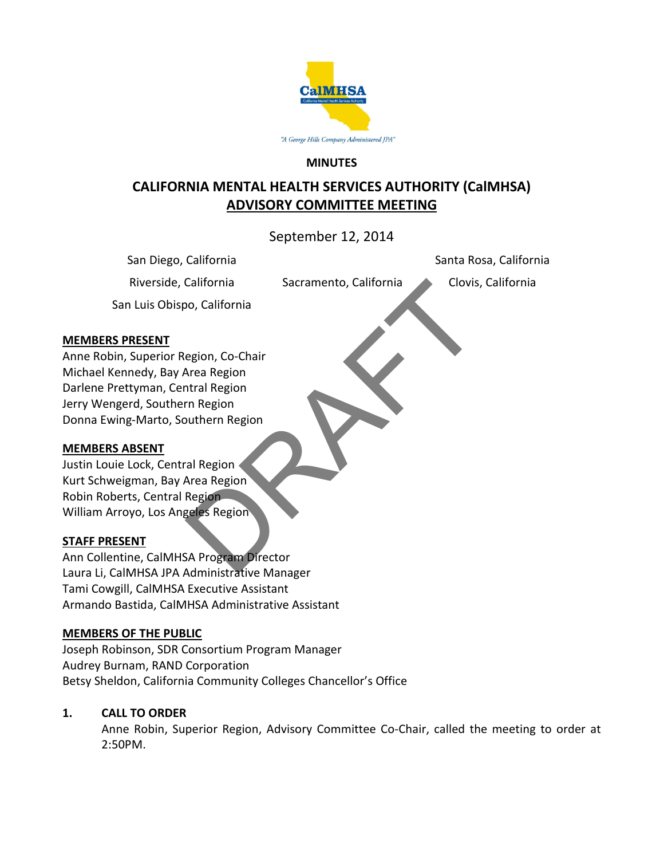

#### **MINUTES**

# **CALIFORNIA MENTAL HEALTH SERVICES AUTHORITY (CalMHSA) ADVISORY COMMITTEE MEETING**

September 12, 2014

Santa Rosa, California

San Diego, California

Riverside, California *Sacramento, California* Clovis, California

San Luis Obispo, California

### **MEMBERS PRESENT**

Anne Robin, Superior Region, Co-Chair Michael Kennedy, Bay Area Region Darlene Prettyman, Central Region Jerry Wengerd, Southern Region Donna Ewing-Marto, Southern Region California<br>
Sacramento, California<br>
egion, Co-Chair<br>
Area Region<br>
m Region<br>
outhern Region<br>
al Region<br>
Region<br>
Region<br>
Region<br>
Region<br>
Region<br>
Region<br>
Region<br>
Region<br>
Region<br>
Region<br>
Region<br>
Region<br>
Region<br>
Region<br>
Area Re

# **MEMBERS ABSENT**

Justin Louie Lock, Central Region Kurt Schweigman, Bay Area Region Robin Roberts, Central Region William Arroyo, Los Angeles Region

# **STAFF PRESENT**

Ann Collentine, CalMHSA Program Director Laura Li, CalMHSA JPA Administrative Manager Tami Cowgill, CalMHSA Executive Assistant Armando Bastida, CalMHSA Administrative Assistant

# **MEMBERS OF THE PUBLIC**

Joseph Robinson, SDR Consortium Program Manager Audrey Burnam, RAND Corporation Betsy Sheldon, California Community Colleges Chancellor's Office

# **1. CALL TO ORDER**

Anne Robin, Superior Region, Advisory Committee Co-Chair, called the meeting to order at 2:50PM.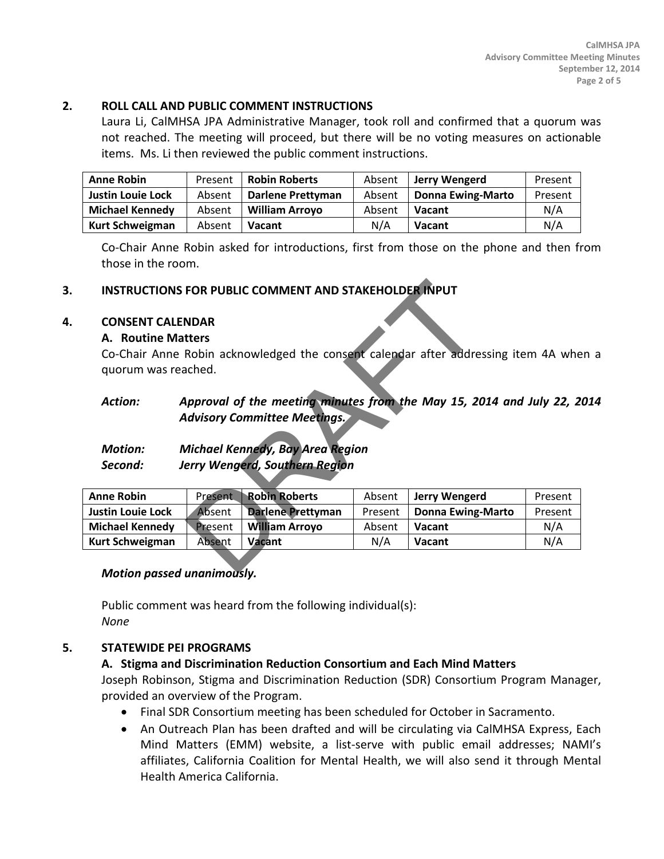#### **2. ROLL CALL AND PUBLIC COMMENT INSTRUCTIONS**

Laura Li, CalMHSA JPA Administrative Manager, took roll and confirmed that a quorum was not reached. The meeting will proceed, but there will be no voting measures on actionable items. Ms. Li then reviewed the public comment instructions.

| <b>Anne Robin</b>        | Present | <b>Robin Roberts</b>  | Absent | Jerry Wengerd            | Present |
|--------------------------|---------|-----------------------|--------|--------------------------|---------|
| <b>Justin Louie Lock</b> | Absent  | Darlene Prettyman     | Absent | <b>Donna Ewing-Marto</b> | Present |
| <b>Michael Kennedy</b>   | Absent  | <b>William Arroyo</b> | Absent | <b>Vacant</b>            | N/A     |
| <b>Kurt Schweigman</b>   | Absent  | <b>Vacant</b>         | N/A    | <b>Vacant</b>            | N/A     |

Co-Chair Anne Robin asked for introductions, first from those on the phone and then from those in the room.

# **3. INSTRUCTIONS FOR PUBLIC COMMENT AND STAKEHOLDER INPUT**

### **4. CONSENT CALENDAR**

#### **A. Routine Matters**

### *Action: Approval of the meeting minutes from the May 15, 2014 and July 22, 2014 Advisory Committee Meetings.*

# *Motion: Michael Kennedy, Bay Area Region Second: Jerry Wengerd, Southern Region*

|                                                                      |                                                                                                             | <b>INSTRUCTIONS FOR PUBLIC COMMENT AND STAKEHOLDER INPUT</b> |         |                                                                                    |         |  |  |  |  |
|----------------------------------------------------------------------|-------------------------------------------------------------------------------------------------------------|--------------------------------------------------------------|---------|------------------------------------------------------------------------------------|---------|--|--|--|--|
| <b>CONSENT CALENDAR</b><br>A. Routine Matters<br>quorum was reached. |                                                                                                             |                                                              |         | Co-Chair Anne Robin acknowledged the consent calendar after addressing item 4A whe |         |  |  |  |  |
| <b>Action:</b>                                                       | Approval of the meeting minutes from the May 15, 2014 and July 22, 2<br><b>Advisory Committee Meetings.</b> |                                                              |         |                                                                                    |         |  |  |  |  |
| <b>Motion:</b>                                                       | Michael Kennedy, Bay Area Region                                                                            |                                                              |         |                                                                                    |         |  |  |  |  |
| Second:                                                              | Jerry Wengerd, Southern Region                                                                              |                                                              |         |                                                                                    |         |  |  |  |  |
|                                                                      |                                                                                                             |                                                              |         |                                                                                    |         |  |  |  |  |
| <b>Anne Robin</b>                                                    | <b>Present</b>                                                                                              | <b>Robin Roberts</b>                                         | Absent  | Jerry Wengerd                                                                      | Present |  |  |  |  |
| <b>Justin Louie Lock</b>                                             | Absent                                                                                                      | <b>Darlene Prettyman</b>                                     | Present | <b>Donna Ewing-Marto</b>                                                           | Present |  |  |  |  |
| <b>Michael Kennedy</b>                                               | <b>Present</b>                                                                                              | William Arroyo                                               | Absent  | Vacant                                                                             | N/A     |  |  |  |  |
| Kurt Schweigman                                                      | Absent                                                                                                      | Vacant                                                       | N/A     | <b>Vacant</b>                                                                      | N/A     |  |  |  |  |
| Mation naccod unanimouchy                                            |                                                                                                             |                                                              |         |                                                                                    |         |  |  |  |  |

# *Motion passed unanimously.*

Public comment was heard from the following individual(s): *None*

#### **5. STATEWIDE PEI PROGRAMS**

# **A. Stigma and Discrimination Reduction Consortium and Each Mind Matters**

Joseph Robinson, Stigma and Discrimination Reduction (SDR) Consortium Program Manager, provided an overview of the Program.

- Final SDR Consortium meeting has been scheduled for October in Sacramento.
- An Outreach Plan has been drafted and will be circulating via CalMHSA Express, Each Mind Matters (EMM) website, a list-serve with public email addresses; NAMI's affiliates, California Coalition for Mental Health, we will also send it through Mental Health America California.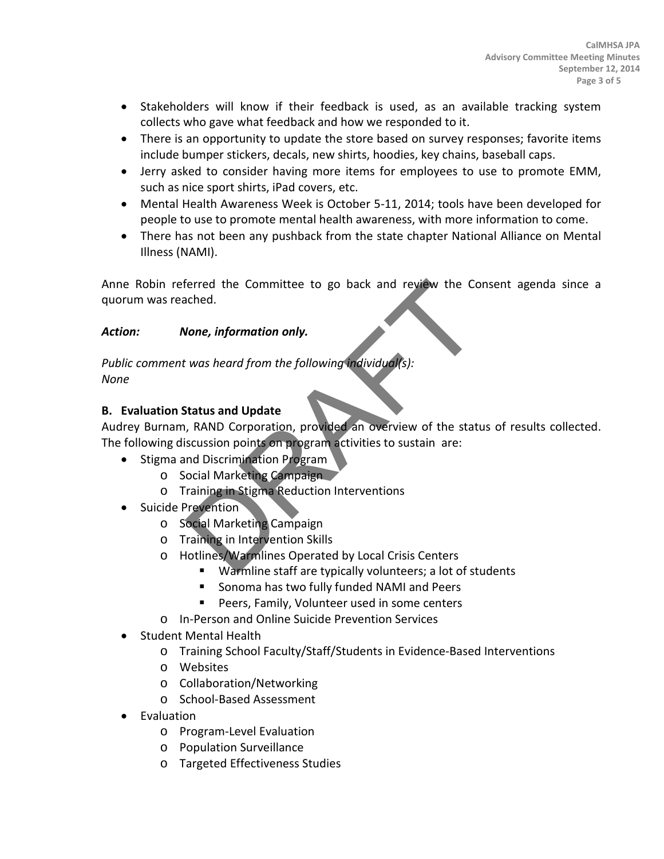- Stakeholders will know if their feedback is used, as an available tracking system collects who gave what feedback and how we responded to it.
- There is an opportunity to update the store based on survey responses; favorite items include bumper stickers, decals, new shirts, hoodies, key chains, baseball caps.
- Jerry asked to consider having more items for employees to use to promote EMM, such as nice sport shirts, iPad covers, etc.
- Mental Health Awareness Week is October 5-11, 2014; tools have been developed for people to use to promote mental health awareness, with more information to come.
- There has not been any pushback from the state chapter National Alliance on Mental Illness (NAMI).

Anne Robin referred the Committee to go back and review the Consent agenda since a quorum was reached.

# *Action: None, information only.*

*Public comment was heard from the following individual(s): None*

# **B. Evaluation Status and Update**

Audrey Burnam, RAND Corporation, provided an overview of the status of results collected. The following discussion points on program activities to sustain are: Ferred the Committee to go back and review the Conched.<br> **Jone, information only.**<br>
vas heard from the following individual(s):<br>
Status and Update<br>
, RAND Corporation, provided an overview of the status<br>
scussion points on

- Stigma and Discrimination Program
	- o Social Marketing Campaign
	- o Training in Stigma Reduction Interventions
- Suicide Prevention
	- o Social Marketing Campaign
	- o Training in Intervention Skills
	- o Hotlines/Warmlines Operated by Local Crisis Centers
		- Warmline staff are typically volunteers; a lot of students
		- **Sonoma has two fully funded NAMI and Peers**
		- **Peers, Family, Volunteer used in some centers**
	- o In-Person and Online Suicide Prevention Services
- Student Mental Health
	- o Training School Faculty/Staff/Students in Evidence-Based Interventions
	- o Websites
	- o Collaboration/Networking
	- o School-Based Assessment
- **Evaluation** 
	- o Program-Level Evaluation
	- o Population Surveillance
	- o Targeted Effectiveness Studies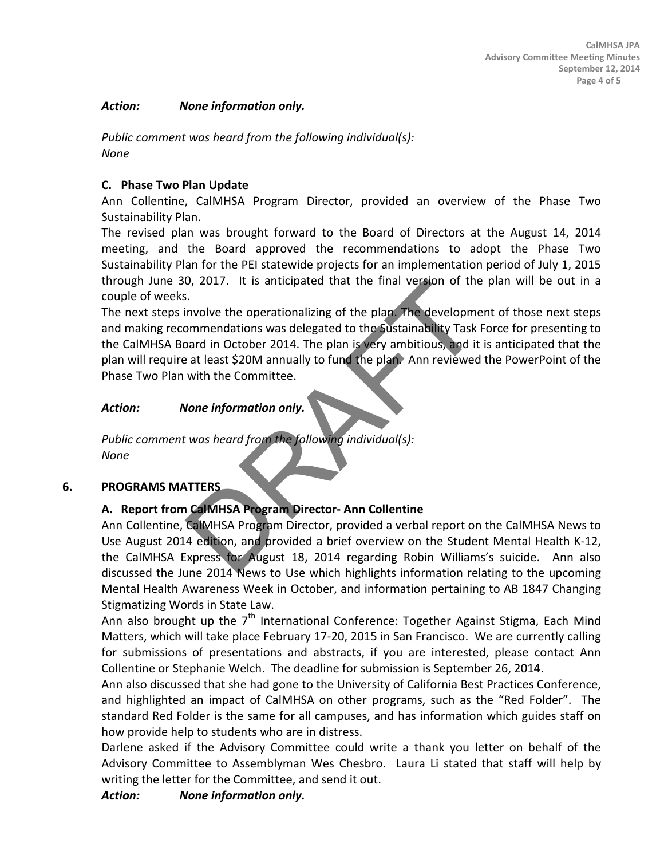#### *Action: None information only.*

*Public comment was heard from the following individual(s): None*

# **C. Phase Two Plan Update**

Ann Collentine, CalMHSA Program Director, provided an overview of the Phase Two Sustainability Plan.

The revised plan was brought forward to the Board of Directors at the August 14, 2014 meeting, and the Board approved the recommendations to adopt the Phase Two Sustainability Plan for the PEI statewide projects for an implementation period of July 1, 2015 through June 30, 2017. It is anticipated that the final version of the plan will be out in a couple of weeks.

The next steps involve the operationalizing of the plan. The development of those next steps and making recommendations was delegated to the Sustainability Task Force for presenting to the CalMHSA Board in October 2014. The plan is very ambitious, and it is anticipated that the plan will require at least \$20M annually to fund the plan. Ann reviewed the PowerPoint of the Phase Two Plan with the Committee. 0, 2017. It is anticipated that the final version of the<br>
i...<br>
involve the operationalizing of the plan. The developme<br>
bommendations was delegated to the Sustainability Task<br>
bard in October 2014. The plan is very ambiti

### *Action: None information only.*

*Public comment was heard from the following individual(s): None*

# **6. PROGRAMS MATTERS**

# **A. Report from CalMHSA Program Director- Ann Collentine**

Ann Collentine, CalMHSA Program Director, provided a verbal report on the CalMHSA News to Use August 2014 edition, and provided a brief overview on the Student Mental Health K-12, the CalMHSA Express for August 18, 2014 regarding Robin Williams's suicide. Ann also discussed the June 2014 News to Use which highlights information relating to the upcoming Mental Health Awareness Week in October, and information pertaining to AB 1847 Changing Stigmatizing Words in State Law.

Ann also brought up the  $7<sup>th</sup>$  International Conference: Together Against Stigma, Each Mind Matters, which will take place February 17-20, 2015 in San Francisco. We are currently calling for submissions of presentations and abstracts, if you are interested, please contact Ann Collentine or Stephanie Welch. The deadline for submission is September 26, 2014.

Ann also discussed that she had gone to the University of California Best Practices Conference, and highlighted an impact of CalMHSA on other programs, such as the "Red Folder". The standard Red Folder is the same for all campuses, and has information which guides staff on how provide help to students who are in distress.

Darlene asked if the Advisory Committee could write a thank you letter on behalf of the Advisory Committee to Assemblyman Wes Chesbro. Laura Li stated that staff will help by writing the letter for the Committee, and send it out.

*Action: None information only.*